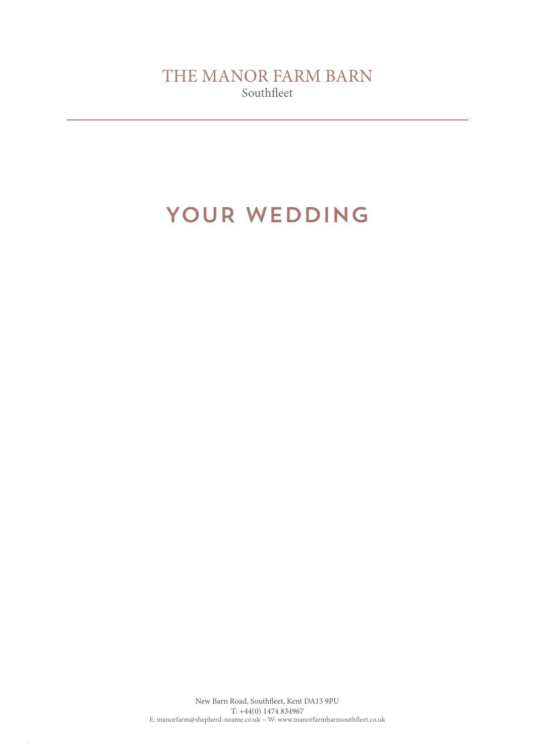# YOUR WEDDING

1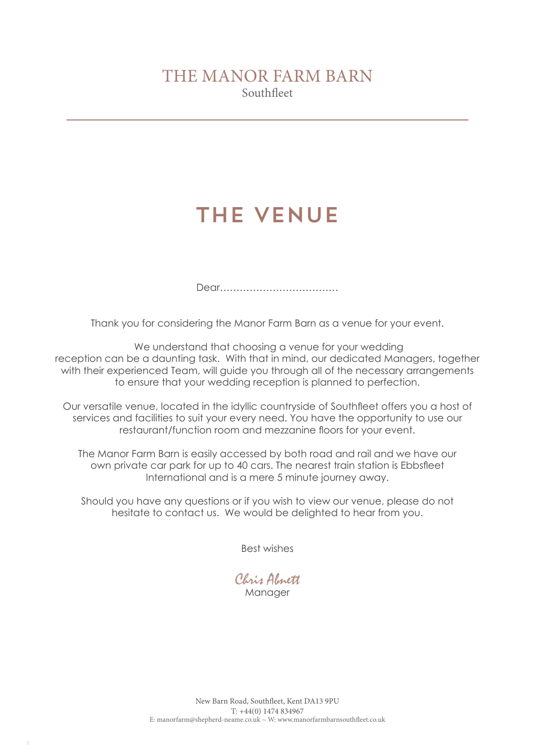# THE VENUE

Dear………………………………

Thank you for considering the Manor Farm Barn as a venue for your event.

 We understand that choosing a venue for your wedding reception can be a daunting task. With that in mind, our dedicated Managers, together with their experienced Team, will guide you through all of the necessary arrangements to ensure that your wedding reception is planned to perfection.

Our versatile venue, located in the idyllic countryside of Southfleet offers you a host of services and facilities to suit your every need. You have the opportunity to use our restaurant/function room and mezzanine floors for your event.

The Manor Farm Barn is easily accessed by both road and rail and we have our own private car park for up to 40 cars. The nearest train station is Ebbsfleet International and is a mere 5 minute journey away.

Should you have any questions or if you wish to view our venue, please do not hesitate to contact us. We would be delighted to hear from you.

Best wishes

Chris Abnett Manager

2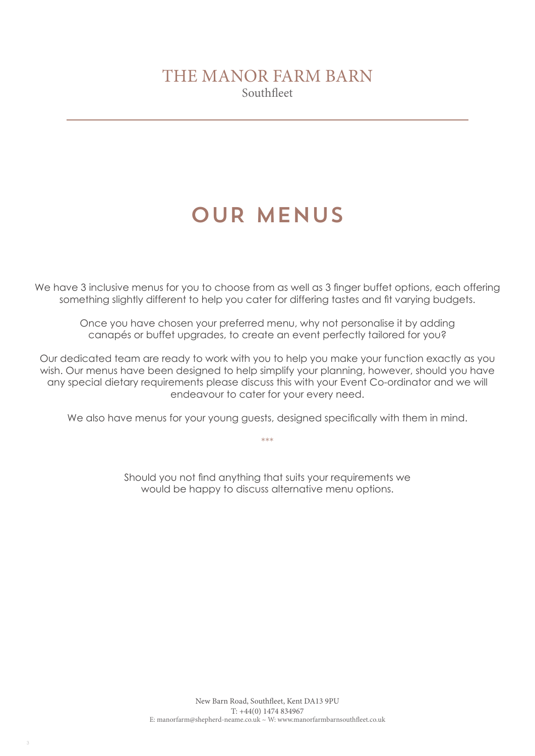# OUR MENUS

We have 3 inclusive menus for you to choose from as well as 3 finger buffet options, each offering something slightly different to help you cater for differing tastes and fit varying budgets.

Once you have chosen your preferred menu, why not personalise it by adding canapés or buffet upgrades, to create an event perfectly tailored for you?

Our dedicated team are ready to work with you to help you make your function exactly as you wish. Our menus have been designed to help simplify your planning, however, should you have any special dietary requirements please discuss this with your Event Co-ordinator and we will endeavour to cater for your every need.

We also have menus for your young quests, designed specifically with them in mind.

\*\*\*

Should you not find anything that suits your requirements we would be happy to discuss alternative menu options.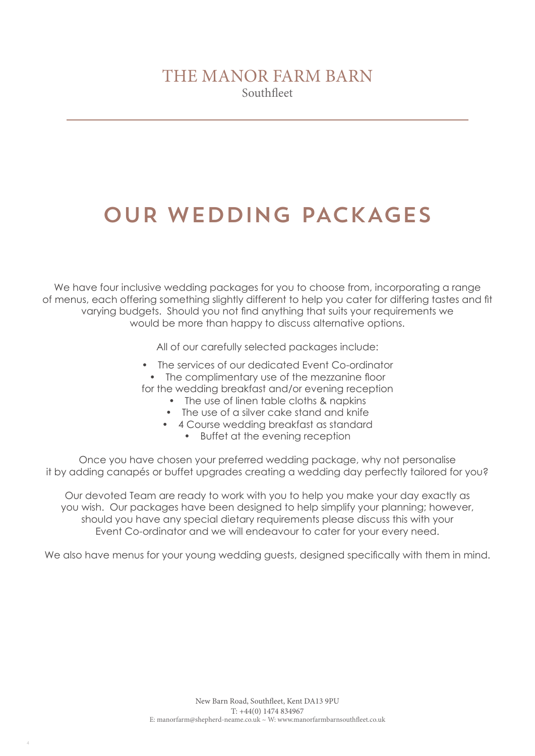# OUR WEDDING PACKAGES

We have four inclusive wedding packages for you to choose from, incorporating a range of menus, each offering something slightly different to help you cater for differing tastes and fit varying budgets. Should you not find anything that suits your requirements we would be more than happy to discuss alternative options.

All of our carefully selected packages include:

- The services of our dedicated Event Co-ordinator • The complimentary use of the mezzanine floor for the wedding breakfast and/or evening reception
	- The use of linen table cloths & napkins
	- The use of a silver cake stand and knife
	- 4 Course wedding breakfast as standard
		- Buffet at the evening reception

Once you have chosen your preferred wedding package, why not personalise it by adding canapés or buffet upgrades creating a wedding day perfectly tailored for you?

Our devoted Team are ready to work with you to help you make your day exactly as you wish. Our packages have been designed to help simplify your planning; however, should you have any special dietary requirements please discuss this with your Event Co-ordinator and we will endeavour to cater for your every need.

We also have menus for your young wedding guests, designed specifically with them in mind.

4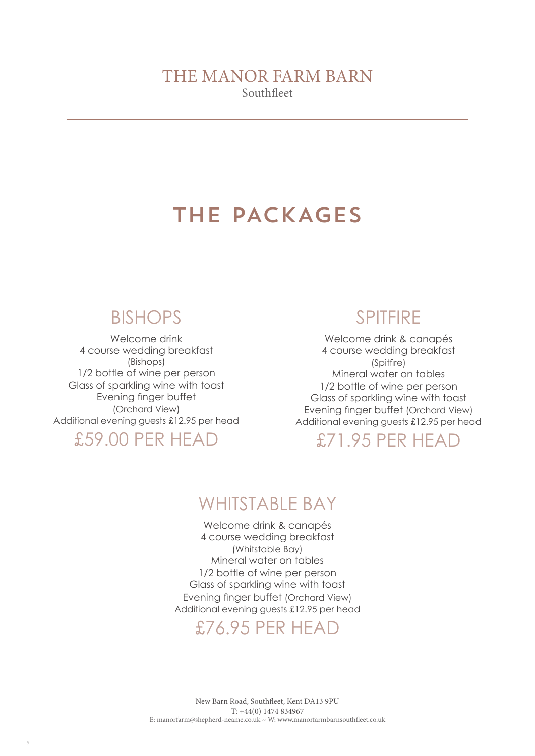# THE PACKAGES

## BISHOPS

Welcome drink 4 course wedding breakfast (Bishops) 1/2 bottle of wine per person Glass of sparkling wine with toast Evening finger buffet (Orchard View) Additional evening guests £12.95 per head

## £59.00 PER HEAD

## SPITFIRE

Welcome drink & canapés 4 course wedding breakfast (Spitfire) Mineral water on tables 1/2 bottle of wine per person Glass of sparkling wine with toast Evening finger buffet (Orchard View) Additional evening guests £12.95 per head

### £71.95 PER HEAD

## WHITSTABLE BAY

Welcome drink & canapés 4 course wedding breakfast (Whitstable Bay) Mineral water on tables 1/2 bottle of wine per person Glass of sparkling wine with toast Evening finger buffet (Orchard View) Additional evening guests £12.95 per head

## £76.95 PER HEAD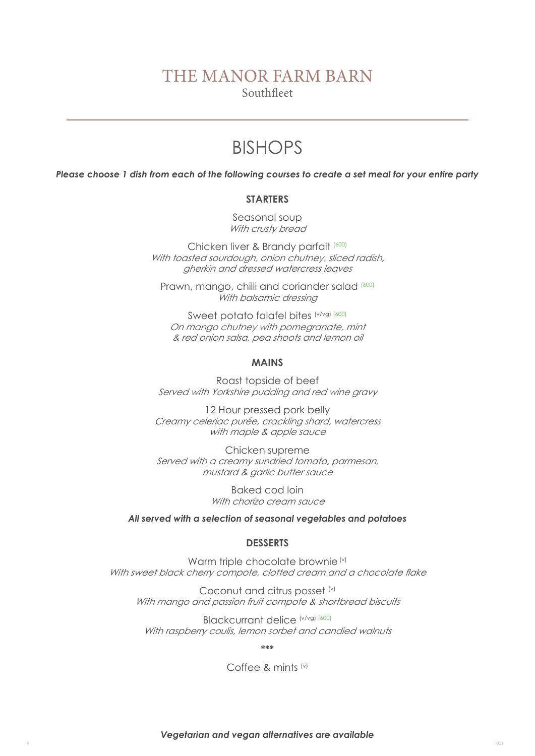### THE MANOR FARM BARN

Southfleet

# BISHOPS

*Please choose 1 dish from each of the following courses to create a set meal for your entire party*

#### **STARTERS**

Seasonal soup With crusty bread

Chicken liver & Brandy parfait (600) With toasted sourdough, onion chutney, sliced radish, gherkin and dressed watercress leaves

Prawn, mango, chilli and coriander salad (600) With balsamic dressing

Sweet potato falafel bites (v/vg) (600) On mango chutney with pomegranate, mint & red onion salsa, pea shoots and lemon oil

#### **MAINS**

Roast topside of beef Served with Yorkshire pudding and red wine gravy

12 Hour pressed pork belly Creamy celeriac purée, crackling shard, watercress with maple & apple sauce

Chicken supreme Served with a creamy sundried tomato, parmesan, mustard & garlic butter sauce

> Baked cod loin With chorizo cream sauce

#### *All served with a selection of seasonal vegetables and potatoes*

#### **DESSERTS**

Warm triple chocolate brownie (v) With sweet black cherry compote, clotted cream and a chocolate flake

Coconut and citrus posset (v) With mango and passion fruit compote & shortbread biscuits

Blackcurrant delice (v/vg) (600) With raspberry coulis, lemon sorbet and candied walnuts

**\*\*\***

#### Coffee & mints (v)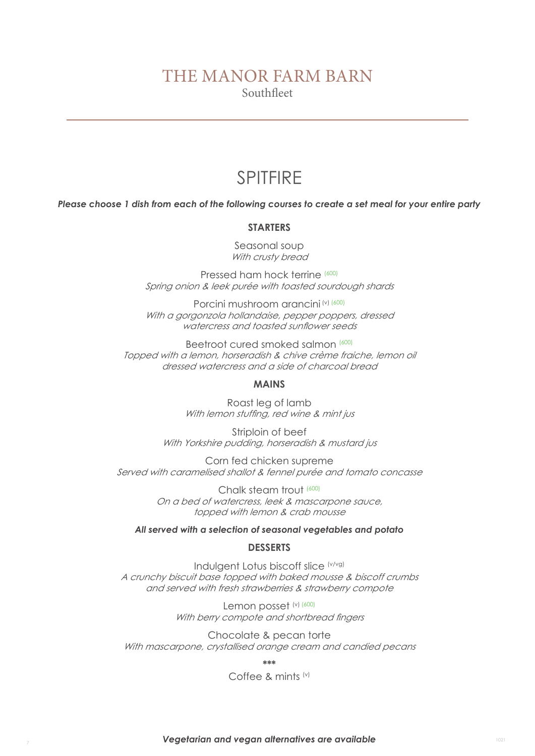## SPITFIRE

*Please choose 1 dish from each of the following courses to create a set meal for your entire party*

#### **STARTERS**

Seasonal soup With crusty bread

Pressed ham hock terrine (600) Spring onion & leek purée with toasted sourdough shards

Porcini mushroom arancini (v) (600) With a gorgonzola hollandaise, pepper poppers, dressed watercress and toasted sunflower seeds

Beetroot cured smoked salmon (600) Topped with a lemon, horseradish & chive crème fraiche, lemon oil dressed watercress and a side of charcoal bread

#### **MAINS**

Roast leg of lamb With lemon stuffing, red wine & mint jus

Striploin of beef With Yorkshire pudding, horseradish & mustard jus

Corn fed chicken supreme Served with caramelised shallot & fennel purée and tomato concasse

> Chalk steam trout (600) On a bed of watercress, leek & mascarpone sauce, topped with lemon & crab mousse

#### *All served with a selection of seasonal vegetables and potato*

#### **DESSERTS**

Indulgent Lotus biscoff slice (v/vg) A crunchy biscuit base topped with baked mousse & biscoff crumbs and served with fresh strawberries & strawberry compote

> Lemon posset (v) (600) With berry compote and shortbread fingers

Chocolate & pecan torte With mascarpone, crystallised orange cream and candied pecans

**\*\*\*** 

Coffee & mints (v)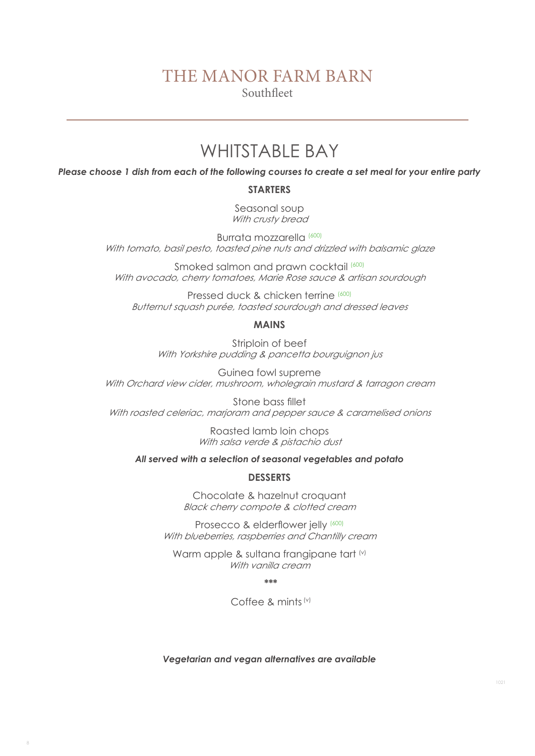### THE MANOR FARM BARN

Southfleet

## WHITSTABLE BAY

*Please choose 1 dish from each of the following courses to create a set meal for your entire party*

#### **STARTERS**

Seasonal soup With crusty bread

Burrata mozzarella (600) With tomato, basil pesto, toasted pine nuts and drizzled with balsamic glaze

Smoked salmon and prawn cocktail (600) With avocado, cherry tomatoes, Marie Rose sauce & artisan sourdough

Pressed duck & chicken terrine (600) Butternut squash purée, toasted sourdough and dressed leaves

#### **MAINS**

Striploin of beef With Yorkshire pudding & pancetta bourguignon jus

Guinea fowl supreme With Orchard view cider, mushroom, wholegrain mustard & tarragon cream

Stone bass fillet With roasted celeriac, marjoram and pepper sauce & caramelised onions

> Roasted lamb loin chops With salsa verde & pistachio dust

*All served with a selection of seasonal vegetables and potato*

#### **DESSERTS**

Chocolate & hazelnut croquant Black cherry compote & clotted cream

Prosecco & elderflower jelly (600) With blueberries, raspberries and Chantilly cream

Warm apple & sultana frangipane tart (v) With vanilla cream

 **\*\*\***

Coffee & mints (v)

*Vegetarian and vegan alternatives are available*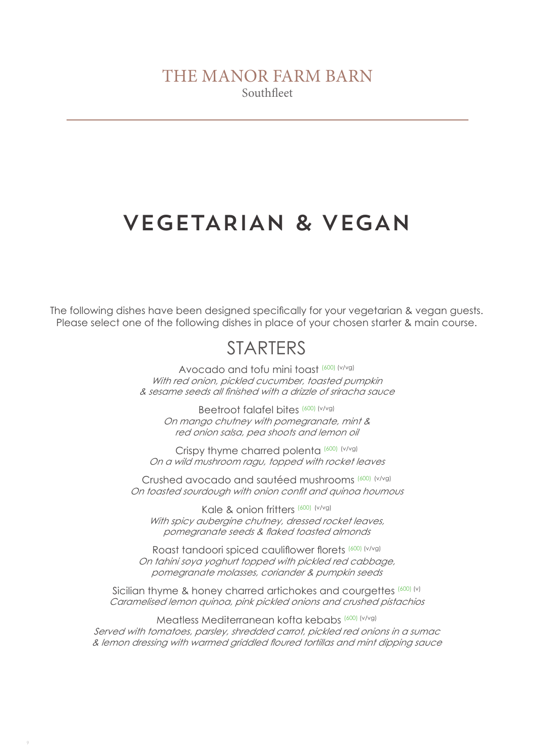# VEGETARIAN & VEGAN

The following dishes have been designed specifically for your vegetarian & vegan guests. Please select one of the following dishes in place of your chosen starter & main course.

# **STARTERS**

Avocado and tofu mini toast (600) (v/vg) With red onion, pickled cucumber, toasted pumpkin & sesame seeds all finished with a drizzle of sriracha sauce

Beetroot falafel bites (600) (v/vg) On mango chutney with pomegranate, mint & red onion salsa, pea shoots and lemon oil

Crispy thyme charred polenta (600) (v/vg) On a wild mushroom ragu, topped with rocket leaves

Crushed avocado and sautéed mushrooms (600) (v/vg) On toasted sourdough with onion confit and quinoa houmous

Kale & onion fritters (600) (v/vg) With spicy aubergine chutney, dressed rocket leaves, pomegranate seeds & flaked toasted almonds

Roast tandoori spiced cauliflower florets (600) (v/vg) On tahini soya yoghurt topped with pickled red cabbage, pomegranate molasses, coriander & pumpkin seeds

Sicilian thyme & honey charred artichokes and courgettes (600) (v) Caramelised lemon quinoa, pink pickled onions and crushed pistachios

Meatless Mediterranean kofta kebabs (600) (v/vg) Served with tomatoes, parsley, shredded carrot, pickled red onions in a sumac & lemon dressing with warmed griddled floured tortillas and mint dipping sauce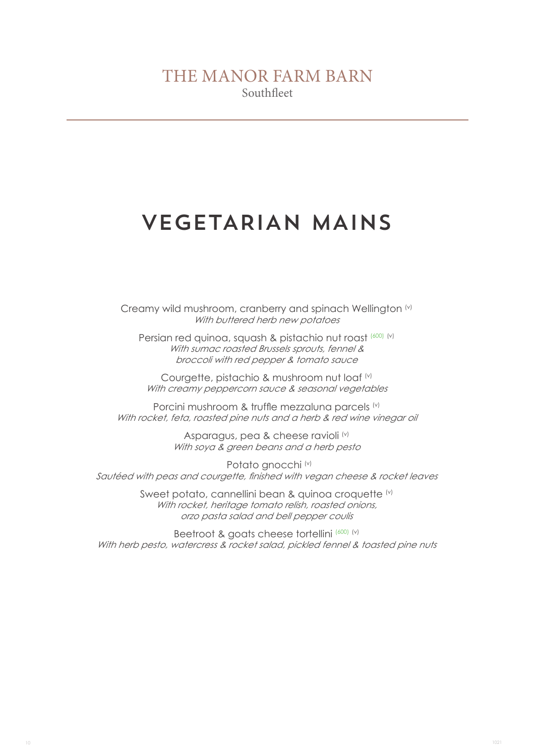# VEGETARIAN MAINS

Creamy wild mushroom, cranberry and spinach Wellington (v) With buttered herb new potatoes

Persian red quinoa, squash & pistachio nut roast (600) (v) With sumac roasted Brussels sprouts, fennel & broccoli with red pepper & tomato sauce

Courgette, pistachio & mushroom nut loaf (v) With creamy peppercorn sauce & seasonal vegetables

Porcini mushroom & truffle mezzaluna parcels (v) With rocket, feta, roasted pine nuts and a herb & red wine vinegar oil

> Asparagus, pea & cheese ravioli<sup>(v)</sup> With soya & green beans and a herb pesto

Potato gnocchi (v) Sautéed with peas and courgette, finished with vegan cheese & rocket leaves

> Sweet potato, cannellini bean & quinoa croquette (v) With rocket, heritage tomato relish, roasted onions, orzo pasta salad and bell pepper coulis

Beetroot & goats cheese tortellini (600) (v) With herb pesto, watercress & rocket salad, pickled fennel & toasted pine nuts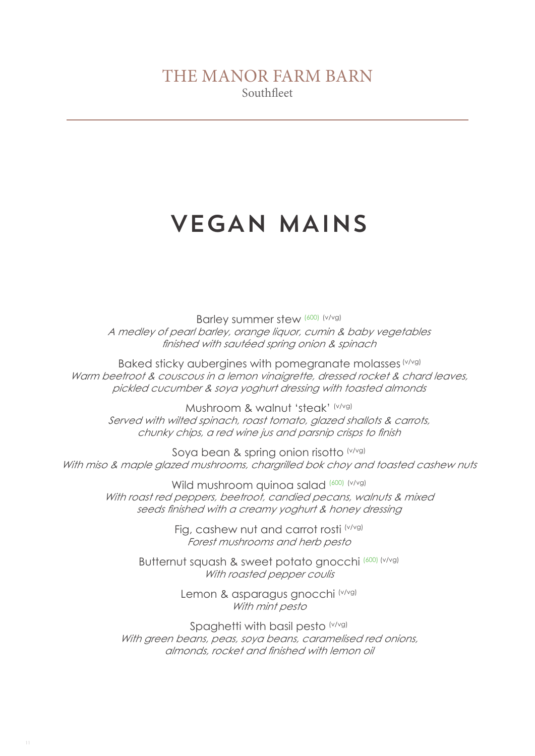# VEGAN MAINS

Barley summer stew (600) (v/vg) A medley of pearl barley, orange liquor, cumin & baby vegetables finished with sautéed spring onion & spinach

Baked sticky aubergines with pomegranate molasses (v/vg) Warm beetroot & couscous in a lemon vinaigrette, dressed rocket & chard leaves, pickled cucumber & soya yoghurt dressing with toasted almonds

Mushroom & walnut 'steak' (v/vg) Served with wilted spinach, roast tomato, glazed shallots & carrots, chunky chips, a red wine jus and parsnip crisps to finish

Soya bean & spring onion risotto (v/vg) With miso & maple glazed mushrooms, chargrilled bok choy and toasted cashew nuts

> Wild mushroom quinoa salad (600) (v/vg) With roast red peppers, beetroot, candied pecans, walnuts & mixed seeds finished with a creamy yoghurt & honey dressing

> > Fig, cashew nut and carrot rosti (v/vg) Forest mushrooms and herb pesto

Butternut squash & sweet potato gnocchi (600) (v/vg) With roasted pepper coulis

> Lemon & asparagus gnocchi (v/vg) With mint pesto

Spaghetti with basil pesto (v/vg) With green beans, peas, soya beans, caramelised red onions, almonds, rocket and finished with lemon oil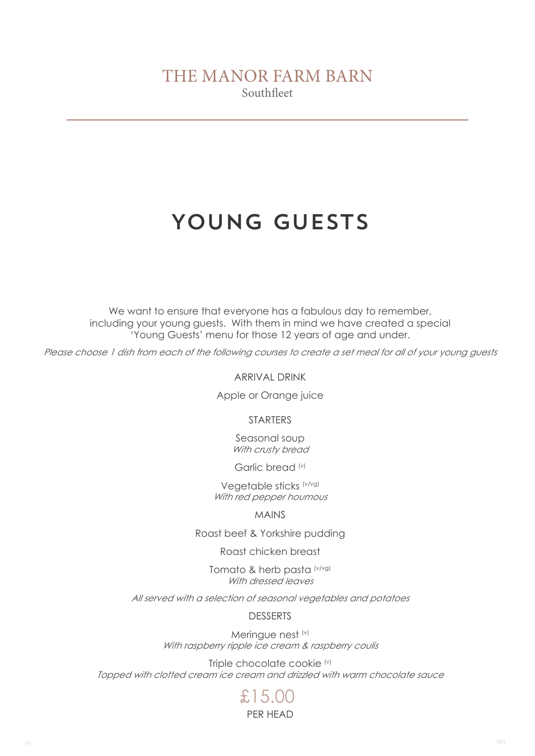# YOUNG GUESTS

We want to ensure that everyone has a fabulous day to remember, including your young guests. With them in mind we have created a special 'Young Guests' menu for those 12 years of age and under.

Please choose 1 dish from each of the following courses to create a set meal for all of your young guests

ARRIVAL DRINK

Apple or Orange juice

**STARTERS** 

Seasonal soup With crusty bread

Garlic bread (v)

Vegetable sticks (v/vg) With red pepper houmous

MAINS

Roast beef & Yorkshire pudding

Roast chicken breast

Tomato & herb pasta (v/vg) With dressed leaves

All served with a selection of seasonal vegetables and potatoes

DESSERTS

Meringue nest (v) With raspberry ripple ice cream & raspberry coulis

Triple chocolate cookie (v) Topped with clotted cream ice cream and drizzled with warm chocolate sauce

### PER HEAD £15.00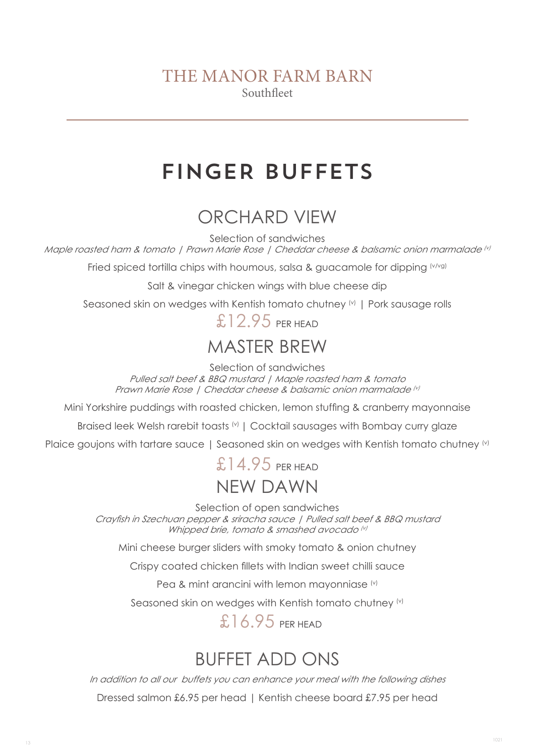# FINGER BUFFETS

# ORCHARD VIEW

Selection of sandwiches

Maple roasted ham & tomato | Prawn Marie Rose | Cheddar cheese & balsamic onion marmalade (v)

Fried spiced tortilla chips with houmous, salsa & guacamole for dipping (v/vg)

Salt & vinegar chicken wings with blue cheese dip

Seasoned skin on wedges with Kentish tomato chutney (v) | Pork sausage rolls

£12.95 PFR HEAD

## MASTER BREW

Selection of sandwiches

Pulled salt beef & BBQ mustard | Maple roasted ham & tomato Prawn Marie Rose | Cheddar cheese & balsamic onion marmalade (v)

Mini Yorkshire puddings with roasted chicken, lemon stuffing & cranberry mayonnaise

Braised leek Welsh rarebit toasts (v) | Cocktail sausages with Bombay curry glaze

Plaice goujons with tartare sauce | Seasoned skin on wedges with Kentish tomato chutney (v)

## NEW DAWN  $£14.95$  PFR HFAD

Selection of open sandwiches

Crayfish in Szechuan pepper & sriracha sauce | Pulled salt beef & BBQ mustard Whipped brie, tomato & smashed avocado (v)

Mini cheese burger sliders with smoky tomato & onion chutney

Crispy coated chicken fillets with Indian sweet chilli sauce

Pea & mint arancini with lemon mayonniase (v)

Seasoned skin on wedges with Kentish tomato chutney (v)

£16.95 PFR HEAD

# BUFFET ADD ONS

In addition to all our buffets you can enhance your meal with the following dishes

Dressed salmon £6.95 per head | Kentish cheese board £7.95 per head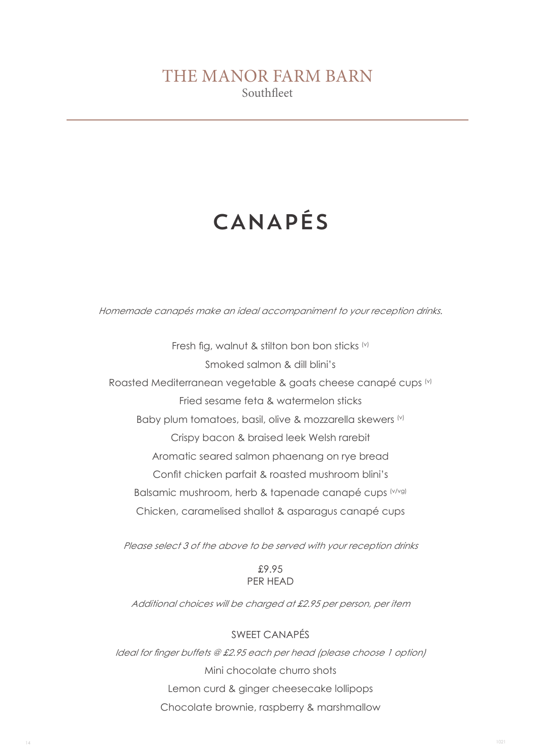# CANAPÉS

Homemade canapés make an ideal accompaniment to your reception drinks.

Fresh fig, walnut & stilton bon bon sticks (v) Smoked salmon & dill blini's Roasted Mediterranean vegetable & goats cheese canapé cups (v) Fried sesame feta & watermelon sticks Baby plum tomatoes, basil, olive & mozzarella skewers (v) Crispy bacon & braised leek Welsh rarebit Aromatic seared salmon phaenang on rye bread Confit chicken parfait & roasted mushroom blini's Balsamic mushroom, herb & tapenade canapé cups (v/vg) Chicken, caramelised shallot & asparagus canapé cups

Please select 3 of the above to be served with your reception drinks

#### £9.95 PER HEAD

Additional choices will be charged at £2.95 per person, per item

#### SWEET CANAPÉS

Ideal for finger buffets @ £2.95 each per head (please choose 1 option) Mini chocolate churro shots Lemon curd & ginger cheesecake lollipops Chocolate brownie, raspberry & marshmallow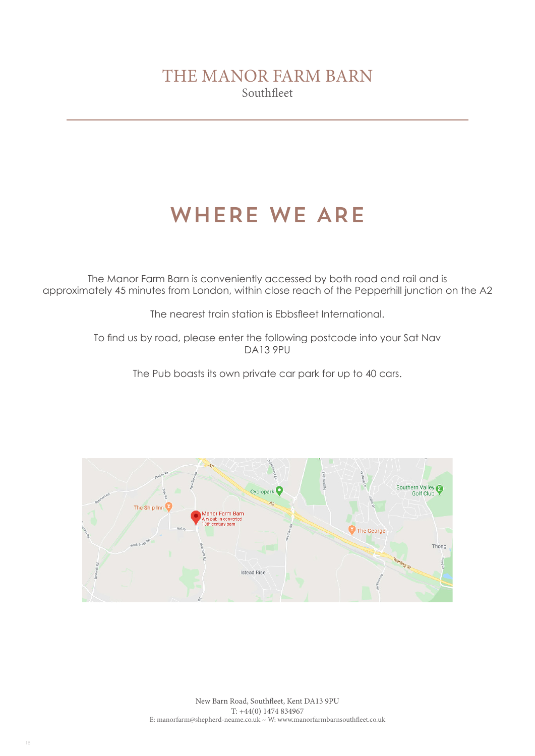# WHERE WE ARE

The Manor Farm Barn is conveniently accessed by both road and rail and is approximately 45 minutes from London, within close reach of the Pepperhill junction on the A2

The nearest train station is Ebbsfleet International.

To find us by road, please enter the following postcode into your Sat Nav DA13 9PU

The Pub boasts its own private car park for up to 40 cars.

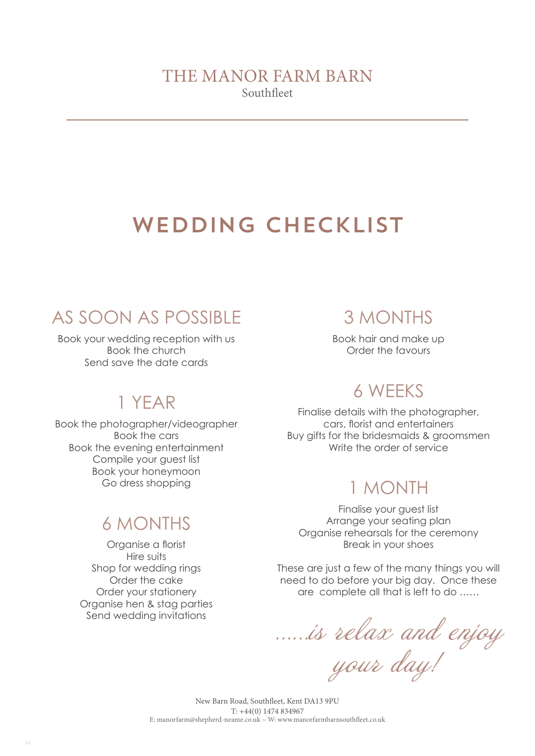# WEDDING CHECKLIST

# AS SOON AS POSSIBLE

Book your wedding reception with us Book the church Send save the date cards

## 1 YEAR

Book the photographer/videographer Book the cars Book the evening entertainment Compile your guest list Book your honeymoon Go dress shopping

# 6 MONTHS

Organise a florist Hire suits Shop for wedding rings Order the cake Order your stationery Organise hen & stag parties Send wedding invitations

16

## 3 MONTHS

Book hair and make up Order the favours

# 6 WEEKS

Finalise details with the photographer, cars, florist and entertainers Buy gifts for the bridesmaids & groomsmen Write the order of service

## 1 MONTH

Finalise your guest list Arrange your seating plan Organise rehearsals for the ceremony Break in your shoes

These are just a few of the many things you will need to do before your big day. Once these are complete all that is left to do ……

……is relax and enjoy

your day!

New Barn Road, Southfleet, Kent DA13 9PU T: +44(0) 1474 834967 E: manorfarm@shepherd-neame.co.uk ~ W: www.manorfarmbarnsouthfleet.co.uk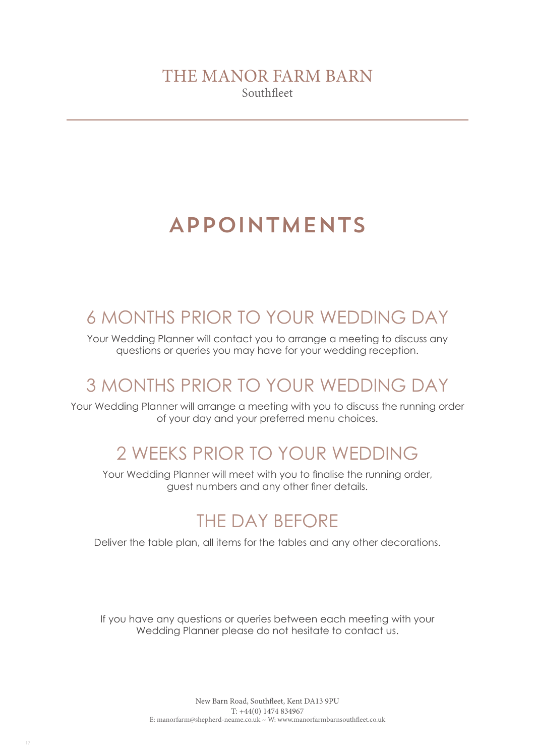# APPOINTMENTS

## 6 MONTHS PRIOR TO YOUR WEDDING DAY

Your Wedding Planner will contact you to arrange a meeting to discuss any questions or queries you may have for your wedding reception.

## 3 MONTHS PRIOR TO YOUR WEDDING DAY

Your Wedding Planner will arrange a meeting with you to discuss the running order of your day and your preferred menu choices.

## 2 WEEKS PRIOR TO YOUR WEDDING

Your Wedding Planner will meet with you to finalise the running order, guest numbers and any other finer details.

## THE DAY BEFORE

Deliver the table plan, all items for the tables and any other decorations.

If you have any questions or queries between each meeting with your Wedding Planner please do not hesitate to contact us.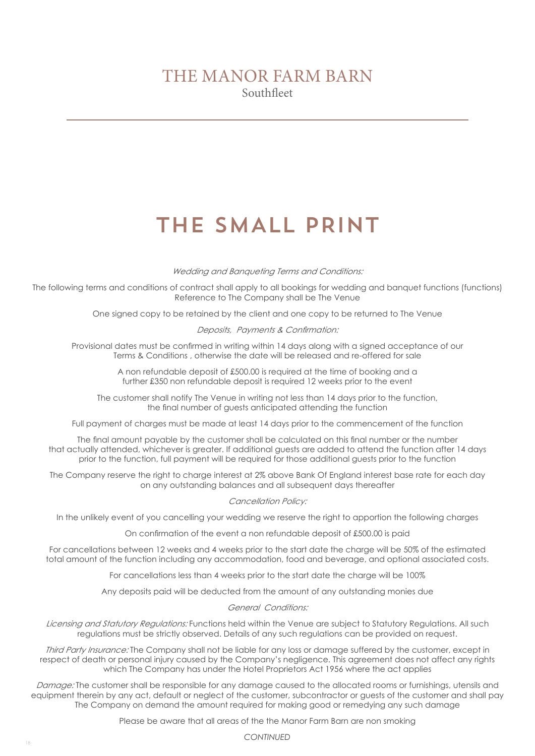# THE SMALL PRINT

Wedding and Banqueting Terms and Conditions:

The following terms and conditions of contract shall apply to all bookings for wedding and banquet functions (functions) Reference to The Company shall be The Venue

One signed copy to be retained by the client and one copy to be returned to The Venue

Deposits, Payments & Confirmation:

Provisional dates must be confirmed in writing within 14 days along with a signed acceptance of our Terms & Conditions , otherwise the date will be released and re-offered for sale

> A non refundable deposit of £500.00 is required at the time of booking and a further £350 non refundable deposit is required 12 weeks prior to the event

The customer shall notify The Venue in writing not less than 14 days prior to the function, the final number of guests anticipated attending the function

Full payment of charges must be made at least 14 days prior to the commencement of the function

The final amount payable by the customer shall be calculated on this final number or the number that actually attended, whichever is greater. If additional guests are added to attend the function after 14 days prior to the function, full payment will be required for those additional guests prior to the function

The Company reserve the right to charge interest at 2% above Bank Of England interest base rate for each day on any outstanding balances and all subsequent days thereafter

Cancellation Policy:

In the unlikely event of you cancelling your wedding we reserve the right to apportion the following charges

On confirmation of the event a non refundable deposit of £500.00 is paid

For cancellations between 12 weeks and 4 weeks prior to the start date the charge will be 50% of the estimated total amount of the function including any accommodation, food and beverage, and optional associated costs.

For cancellations less than 4 weeks prior to the start date the charge will be 100%

Any deposits paid will be deducted from the amount of any outstanding monies due

General Conditions:

Licensing and Statutory Regulations: Functions held within the Venue are subject to Statutory Regulations. All such regulations must be strictly observed. Details of any such regulations can be provided on request.

Third Party Insurance: The Company shall not be liable for any loss or damage suffered by the customer, except in respect of death or personal injury caused by the Company's negligence. This agreement does not affect any rights which The Company has under the Hotel Proprietors Act 1956 where the act applies

Damage: The customer shall be responsible for any damage caused to the allocated rooms or furnishings, utensils and equipment therein by any act, default or neglect of the customer, subcontractor or guests of the customer and shall pay The Company on demand the amount required for making good or remedying any such damage

Please be aware that all areas of the the Manor Farm Barn are non smoking

*CONTINUED*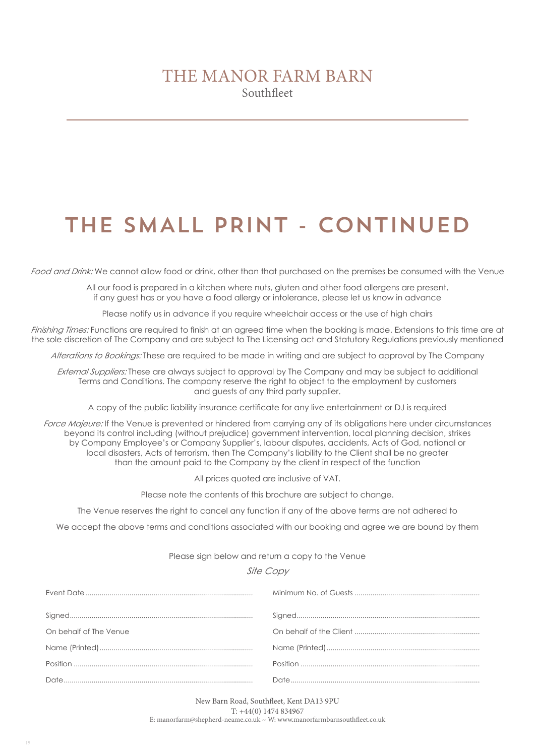# THE SMALL PRINT - CONTINUED

Food and Drink: We cannot allow food or drink, other than that purchased on the premises be consumed with the Venue

All our food is prepared in a kitchen where nuts, gluten and other food allergens are present, if any guest has or you have a food allergy or intolerance, please let us know in advance

Please notify us in advance if you require wheelchair access or the use of high chairs

Finishing Times: Functions are required to finish at an agreed time when the booking is made. Extensions to this time are at the sole discretion of The Company and are subject to The Licensing act and Statutory Regulations previously mentioned

Alterations to Bookings: These are required to be made in writing and are subject to approval by The Company

External Suppliers: These are always subject to approval by The Company and may be subject to additional Terms and Conditions. The company reserve the right to object to the employment by customers and guests of any third party supplier.

A copy of the public liability insurance certificate for any live entertainment or DJ is required

Force Majeure: If the Venue is prevented or hindered from carrying any of its obligations here under circumstances beyond its control including (without prejudice) government intervention, local planning decision, strikes by Company Employee's or Company Supplier's, labour disputes, accidents, Acts of God, national or local disasters, Acts of terrorism, then The Company's liability to the Client shall be no greater than the amount paid to the Company by the client in respect of the function

All prices quoted are inclusive of VAT.

Please note the contents of this brochure are subject to change.

The Venue reserves the right to cancel any function if any of the above terms are not adhered to

We accept the above terms and conditions associated with our booking and agree we are bound by them

#### Please sign below and return a copy to the Venue

#### Site Copy

| On behalf of The Venue |  |
|------------------------|--|
|                        |  |
|                        |  |
|                        |  |

New Barn Road, Southfleet, Kent DA13 9PU T: +44(0) 1474 834967 E: manorfarm@shepherd-neame.co.uk ~ W: www.manorfarmbarnsouthfleet.co.uk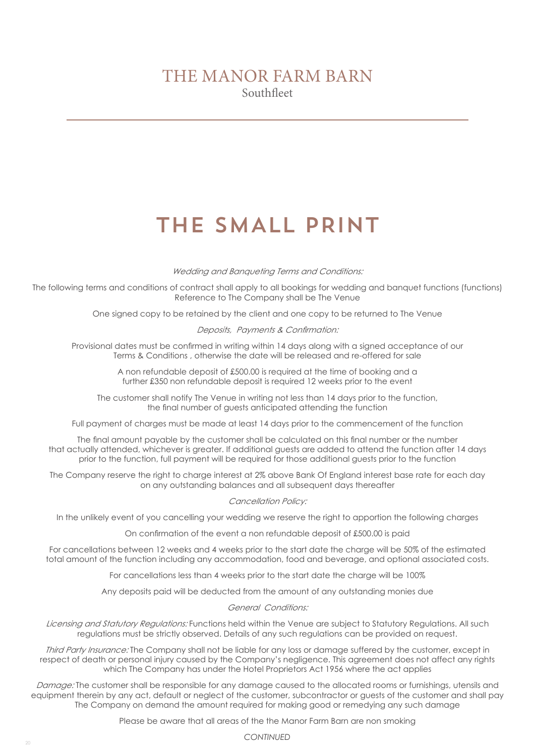# THE SMALL PRINT

Wedding and Banqueting Terms and Conditions:

The following terms and conditions of contract shall apply to all bookings for wedding and banquet functions (functions) Reference to The Company shall be The Venue

One signed copy to be retained by the client and one copy to be returned to The Venue

Deposits, Payments & Confirmation:

Provisional dates must be confirmed in writing within 14 days along with a signed acceptance of our Terms & Conditions , otherwise the date will be released and re-offered for sale

> A non refundable deposit of £500.00 is required at the time of booking and a further £350 non refundable deposit is required 12 weeks prior to the event

The customer shall notify The Venue in writing not less than 14 days prior to the function, the final number of guests anticipated attending the function

Full payment of charges must be made at least 14 days prior to the commencement of the function

The final amount payable by the customer shall be calculated on this final number or the number that actually attended, whichever is greater. If additional guests are added to attend the function after 14 days prior to the function, full payment will be required for those additional guests prior to the function

The Company reserve the right to charge interest at 2% above Bank Of England interest base rate for each day on any outstanding balances and all subsequent days thereafter

Cancellation Policy:

In the unlikely event of you cancelling your wedding we reserve the right to apportion the following charges

On confirmation of the event a non refundable deposit of £500.00 is paid

For cancellations between 12 weeks and 4 weeks prior to the start date the charge will be 50% of the estimated total amount of the function including any accommodation, food and beverage, and optional associated costs.

For cancellations less than 4 weeks prior to the start date the charge will be 100%

Any deposits paid will be deducted from the amount of any outstanding monies due

General Conditions:

Licensing and Statutory Regulations: Functions held within the Venue are subject to Statutory Regulations. All such regulations must be strictly observed. Details of any such regulations can be provided on request.

Third Party Insurance: The Company shall not be liable for any loss or damage suffered by the customer, except in respect of death or personal injury caused by the Company's negligence. This agreement does not affect any rights which The Company has under the Hotel Proprietors Act 1956 where the act applies

Damage: The customer shall be responsible for any damage caused to the allocated rooms or furnishings, utensils and equipment therein by any act, default or neglect of the customer, subcontractor or guests of the customer and shall pay The Company on demand the amount required for making good or remedying any such damage

Please be aware that all areas of the the Manor Farm Barn are non smoking

*CONTINUED*